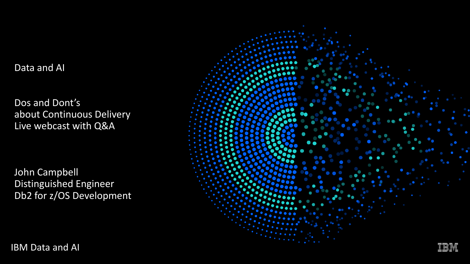Data and AI

Dos and Dont's about Continuous Delivery Live webcast with Q&A

John Campbell Distinguished Engineer Db2 for z/OS Development



IBM Data and AI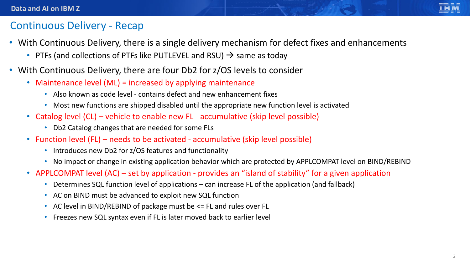

#### Continuous Delivery - Recap

- With Continuous Delivery, there is a single delivery mechanism for defect fixes and enhancements
	- PTFs (and collections of PTFs like PUTLEVEL and RSU)  $\rightarrow$  same as today
- With Continuous Delivery, there are four Db2 for z/OS levels to consider
	- Maintenance level (ML) = increased by applying maintenance
		- Also known as code level contains defect and new enhancement fixes
		- Most new functions are shipped disabled until the appropriate new function level is activated
	- Catalog level (CL) vehicle to enable new FL accumulative (skip level possible)
		- Db2 Catalog changes that are needed for some FLs
	- Function level (FL) needs to be activated accumulative (skip level possible)
		- Introduces new Db2 for z/OS features and functionality
		- No impact or change in existing application behavior which are protected by APPLCOMPAT level on BIND/REBIND
	- APPLCOMPAT level (AC) set by application provides an "island of stability" for a given application
		- Determines SQL function level of applications can increase FL of the application (and fallback)
		- AC on BIND must be advanced to exploit new SQL function
		- AC level in BIND/REBIND of package must be  $\leq$  FL and rules over FL
		- Freezes new SQL syntax even if FL is later moved back to earlier level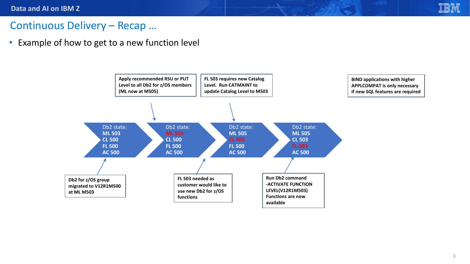#### Continuous Delivery – Recap …

• Example of how to get to a new function level



**Section**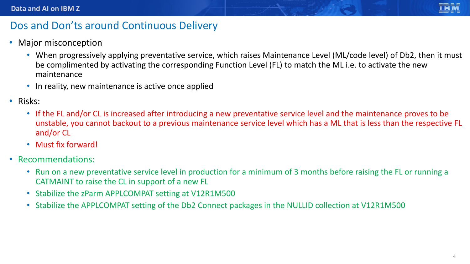- Major misconception
	- When progressively applying preventative service, which raises Maintenance Level (ML/code level) of Db2, then it must be complimented by activating the corresponding Function Level (FL) to match the ML i.e. to activate the new maintenance
	- In reality, new maintenance is active once applied
- Risks:
	- If the FL and/or CL is increased after introducing a new preventative service level and the maintenance proves to be unstable, you cannot backout to a previous maintenance service level which has a ML that is less than the respective FL and/or CL
	- Must fix forward!
- Recommendations:
	- Run on a new preventative service level in production for a minimum of 3 months before raising the FL or running a CATMAINT to raise the CL in support of a new FL
	- Stabilize the zParm APPLCOMPAT setting at V12R1M500
	- Stabilize the APPLCOMPAT setting of the Db2 Connect packages in the NULLID collection at V12R1M500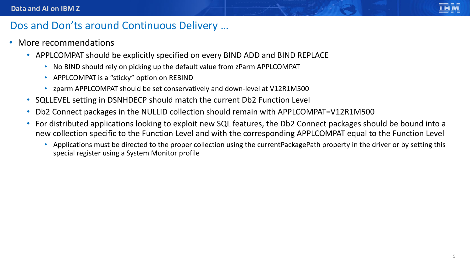- More recommendations
	- APPLCOMPAT should be explicitly specified on every BIND ADD and BIND REPLACE
		- No BIND should rely on picking up the default value from zParm APPLCOMPAT
		- APPLCOMPAT is a "sticky" option on REBIND
		- zparm APPLCOMPAT should be set conservatively and down-level at V12R1M500
	- SQLLEVEL setting in DSNHDECP should match the current Db2 Function Level
	- Db2 Connect packages in the NULLID collection should remain with APPLCOMPAT=V12R1M500
	- For distributed applications looking to exploit new SQL features, the Db2 Connect packages should be bound into a new collection specific to the Function Level and with the corresponding APPLCOMPAT equal to the Function Level
		- Applications must be directed to the proper collection using the currentPackagePath property in the driver or by setting this special register using a System Monitor profile

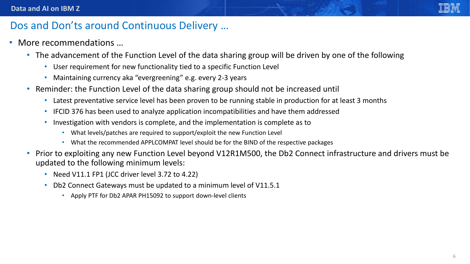- More recommendations …
	- The advancement of the Function Level of the data sharing group will be driven by one of the following
		- User requirement for new functionality tied to a specific Function Level
		- Maintaining currency aka "evergreening" e.g. every 2-3 years
	- Reminder: the Function Level of the data sharing group should not be increased until
		- Latest preventative service level has been proven to be running stable in production for at least 3 months
		- IFCID 376 has been used to analyze application incompatibilities and have them addressed
		- Investigation with vendors is complete, and the implementation is complete as to
			- What levels/patches are required to support/exploit the new Function Level
			- What the recommended APPLCOMPAT level should be for the BIND of the respective packages
	- Prior to exploiting any new Function Level beyond V12R1M500, the Db2 Connect infrastructure and drivers must be updated to the following minimum levels:
		- Need V11.1 FP1 (JCC driver level 3.72 to 4.22)
		- Db2 Connect Gateways must be updated to a minimum level of V11.5.1
			- Apply PTF for Db2 APAR PH15092 to support down-level clients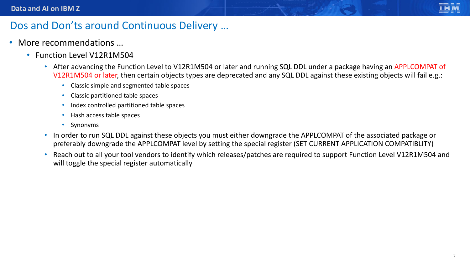- More recommendations ...
	- Function Level V12R1M504
		- After advancing the Function Level to V12R1M504 or later and running SQL DDL under a package having an APPLCOMPAT of V12R1M504 or later, then certain objects types are deprecated and any SQL DDL against these existing objects will fail e.g.:
			- Classic simple and segmented table spaces
			- Classic partitioned table spaces
			- Index controlled partitioned table spaces
			- Hash access table spaces
			- Synonyms
		- In order to run SQL DDL against these objects you must either downgrade the APPLCOMPAT of the associated package or preferably downgrade the APPLCOMPAT level by setting the special register (SET CURRENT APPLICATION COMPATIBLITY)
		- Reach out to all your tool vendors to identify which releases/patches are required to support Function Level V12R1M504 and will toggle the special register automatically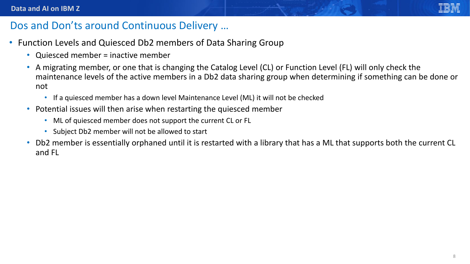- Function Levels and Quiesced Db2 members of Data Sharing Group
	- Quiesced member = inactive member
	- A migrating member, or one that is changing the Catalog Level (CL) or Function Level (FL) will only check the maintenance levels of the active members in a Db2 data sharing group when determining if something can be done or not
		- If a quiesced member has a down level Maintenance Level (ML) it will not be checked
	- Potential issues will then arise when restarting the quiesced member
		- ML of quiesced member does not support the current CL or FL
		- Subject Db2 member will not be allowed to start
	- Db2 member is essentially orphaned until it is restarted with a library that has a ML that supports both the current CL and FL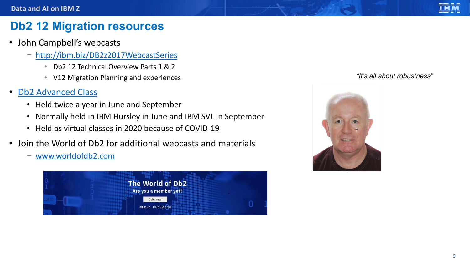## **Db2 12 Migration resources**

- John Campbell's webcasts
	- − <http://ibm.biz/DB2z2017WebcastSeries>
		- Db2 12 Technical Overview Parts 1 & 2
		- V12 Migration Planning and experiences
- [Db2 Advanced Class](https://www.ibm.com/developerworks/community/wikis/home?lang=en#!/wiki/Wc05a3bbc003d_44bf_8673_d5dd7683d239/page/Db2%20for%20zOS%20Master%20Class%202019%20-%20Workshop%20Announcement) 
	- Held twice a year in June and September
	- Normally held in IBM Hursley in June and IBM SVL in September
	- Held as virtual classes in 2020 because of COVID-19
- Join the World of Db2 for additional webcasts and materials

− [www.worldofdb2.com](http://www.worldofdb2.com/)



#### *"It's all about robustness"*